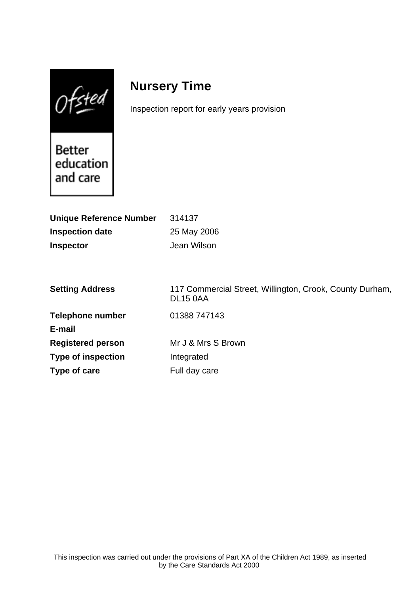$0$ fsted

# **Nursery Time**

**Type of care** Full day care

Inspection report for early years provision

Better education and care

| <b>Unique Reference Number</b> | 314137                                                                      |
|--------------------------------|-----------------------------------------------------------------------------|
| <b>Inspection date</b>         | 25 May 2006                                                                 |
| <b>Inspector</b>               | Jean Wilson                                                                 |
|                                |                                                                             |
| <b>Setting Address</b>         | 117 Commercial Street, Willington, Crook, County Durham,<br><b>DL15 0AA</b> |
| <b>Telephone number</b>        | 01388 747143                                                                |
| E-mail                         |                                                                             |
| <b>Registered person</b>       | Mr J & Mrs S Brown                                                          |
| <b>Type of inspection</b>      | Integrated                                                                  |
|                                |                                                                             |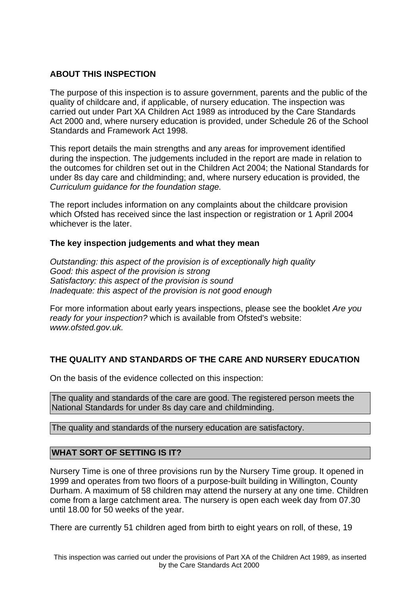## **ABOUT THIS INSPECTION**

The purpose of this inspection is to assure government, parents and the public of the quality of childcare and, if applicable, of nursery education. The inspection was carried out under Part XA Children Act 1989 as introduced by the Care Standards Act 2000 and, where nursery education is provided, under Schedule 26 of the School Standards and Framework Act 1998.

This report details the main strengths and any areas for improvement identified during the inspection. The judgements included in the report are made in relation to the outcomes for children set out in the Children Act 2004; the National Standards for under 8s day care and childminding; and, where nursery education is provided, the Curriculum guidance for the foundation stage.

The report includes information on any complaints about the childcare provision which Ofsted has received since the last inspection or registration or 1 April 2004 whichever is the later.

## **The key inspection judgements and what they mean**

Outstanding: this aspect of the provision is of exceptionally high quality Good: this aspect of the provision is strong Satisfactory: this aspect of the provision is sound Inadequate: this aspect of the provision is not good enough

For more information about early years inspections, please see the booklet Are you ready for your inspection? which is available from Ofsted's website: www.ofsted.gov.uk.

# **THE QUALITY AND STANDARDS OF THE CARE AND NURSERY EDUCATION**

On the basis of the evidence collected on this inspection:

The quality and standards of the care are good. The registered person meets the National Standards for under 8s day care and childminding.

The quality and standards of the nursery education are satisfactory.

## **WHAT SORT OF SETTING IS IT?**

Nursery Time is one of three provisions run by the Nursery Time group. It opened in 1999 and operates from two floors of a purpose-built building in Willington, County Durham. A maximum of 58 children may attend the nursery at any one time. Children come from a large catchment area. The nursery is open each week day from 07.30 until 18.00 for 50 weeks of the year.

There are currently 51 children aged from birth to eight years on roll, of these, 19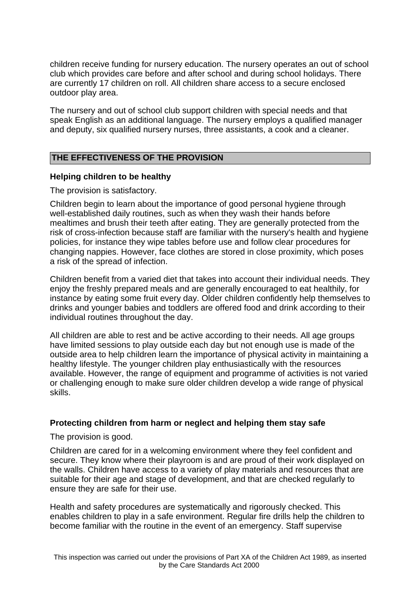children receive funding for nursery education. The nursery operates an out of school club which provides care before and after school and during school holidays. There are currently 17 children on roll. All children share access to a secure enclosed outdoor play area.

The nursery and out of school club support children with special needs and that speak English as an additional language. The nursery employs a qualified manager and deputy, six qualified nursery nurses, three assistants, a cook and a cleaner.

# **THE EFFECTIVENESS OF THE PROVISION**

## **Helping children to be healthy**

The provision is satisfactory.

Children begin to learn about the importance of good personal hygiene through well-established daily routines, such as when they wash their hands before mealtimes and brush their teeth after eating. They are generally protected from the risk of cross-infection because staff are familiar with the nursery's health and hygiene policies, for instance they wipe tables before use and follow clear procedures for changing nappies. However, face clothes are stored in close proximity, which poses a risk of the spread of infection.

Children benefit from a varied diet that takes into account their individual needs. They enjoy the freshly prepared meals and are generally encouraged to eat healthily, for instance by eating some fruit every day. Older children confidently help themselves to drinks and younger babies and toddlers are offered food and drink according to their individual routines throughout the day.

All children are able to rest and be active according to their needs. All age groups have limited sessions to play outside each day but not enough use is made of the outside area to help children learn the importance of physical activity in maintaining a healthy lifestyle. The younger children play enthusiastically with the resources available. However, the range of equipment and programme of activities is not varied or challenging enough to make sure older children develop a wide range of physical skills.

## **Protecting children from harm or neglect and helping them stay safe**

The provision is good.

Children are cared for in a welcoming environment where they feel confident and secure. They know where their playroom is and are proud of their work displayed on the walls. Children have access to a variety of play materials and resources that are suitable for their age and stage of development, and that are checked regularly to ensure they are safe for their use.

Health and safety procedures are systematically and rigorously checked. This enables children to play in a safe environment. Regular fire drills help the children to become familiar with the routine in the event of an emergency. Staff supervise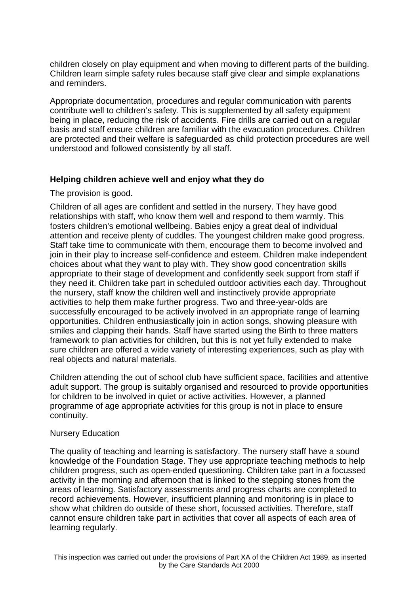children closely on play equipment and when moving to different parts of the building. Children learn simple safety rules because staff give clear and simple explanations and reminders.

Appropriate documentation, procedures and regular communication with parents contribute well to children's safety. This is supplemented by all safety equipment being in place, reducing the risk of accidents. Fire drills are carried out on a regular basis and staff ensure children are familiar with the evacuation procedures. Children are protected and their welfare is safeguarded as child protection procedures are well understood and followed consistently by all staff.

## **Helping children achieve well and enjoy what they do**

The provision is good.

Children of all ages are confident and settled in the nursery. They have good relationships with staff, who know them well and respond to them warmly. This fosters children's emotional wellbeing. Babies enjoy a great deal of individual attention and receive plenty of cuddles. The youngest children make good progress. Staff take time to communicate with them, encourage them to become involved and join in their play to increase self-confidence and esteem. Children make independent choices about what they want to play with. They show good concentration skills appropriate to their stage of development and confidently seek support from staff if they need it. Children take part in scheduled outdoor activities each day. Throughout the nursery, staff know the children well and instinctively provide appropriate activities to help them make further progress. Two and three-year-olds are successfully encouraged to be actively involved in an appropriate range of learning opportunities. Children enthusiastically join in action songs, showing pleasure with smiles and clapping their hands. Staff have started using the Birth to three matters framework to plan activities for children, but this is not yet fully extended to make sure children are offered a wide variety of interesting experiences, such as play with real objects and natural materials.

Children attending the out of school club have sufficient space, facilities and attentive adult support. The group is suitably organised and resourced to provide opportunities for children to be involved in quiet or active activities. However, a planned programme of age appropriate activities for this group is not in place to ensure continuity.

#### Nursery Education

The quality of teaching and learning is satisfactory. The nursery staff have a sound knowledge of the Foundation Stage. They use appropriate teaching methods to help children progress, such as open-ended questioning. Children take part in a focussed activity in the morning and afternoon that is linked to the stepping stones from the areas of learning. Satisfactory assessments and progress charts are completed to record achievements. However, insufficient planning and monitoring is in place to show what children do outside of these short, focussed activities. Therefore, staff cannot ensure children take part in activities that cover all aspects of each area of learning regularly.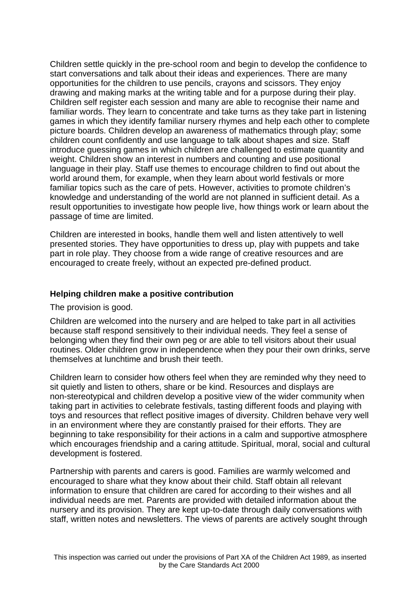Children settle quickly in the pre-school room and begin to develop the confidence to start conversations and talk about their ideas and experiences. There are many opportunities for the children to use pencils, crayons and scissors. They enjoy drawing and making marks at the writing table and for a purpose during their play. Children self register each session and many are able to recognise their name and familiar words. They learn to concentrate and take turns as they take part in listening games in which they identify familiar nursery rhymes and help each other to complete picture boards. Children develop an awareness of mathematics through play; some children count confidently and use language to talk about shapes and size. Staff introduce guessing games in which children are challenged to estimate quantity and weight. Children show an interest in numbers and counting and use positional language in their play. Staff use themes to encourage children to find out about the world around them, for example, when they learn about world festivals or more familiar topics such as the care of pets. However, activities to promote children's knowledge and understanding of the world are not planned in sufficient detail. As a result opportunities to investigate how people live, how things work or learn about the passage of time are limited.

Children are interested in books, handle them well and listen attentively to well presented stories. They have opportunities to dress up, play with puppets and take part in role play. They choose from a wide range of creative resources and are encouraged to create freely, without an expected pre-defined product.

#### **Helping children make a positive contribution**

#### The provision is good.

Children are welcomed into the nursery and are helped to take part in all activities because staff respond sensitively to their individual needs. They feel a sense of belonging when they find their own peg or are able to tell visitors about their usual routines. Older children grow in independence when they pour their own drinks, serve themselves at lunchtime and brush their teeth.

Children learn to consider how others feel when they are reminded why they need to sit quietly and listen to others, share or be kind. Resources and displays are non-stereotypical and children develop a positive view of the wider community when taking part in activities to celebrate festivals, tasting different foods and playing with toys and resources that reflect positive images of diversity. Children behave very well in an environment where they are constantly praised for their efforts. They are beginning to take responsibility for their actions in a calm and supportive atmosphere which encourages friendship and a caring attitude. Spiritual, moral, social and cultural development is fostered.

Partnership with parents and carers is good. Families are warmly welcomed and encouraged to share what they know about their child. Staff obtain all relevant information to ensure that children are cared for according to their wishes and all individual needs are met. Parents are provided with detailed information about the nursery and its provision. They are kept up-to-date through daily conversations with staff, written notes and newsletters. The views of parents are actively sought through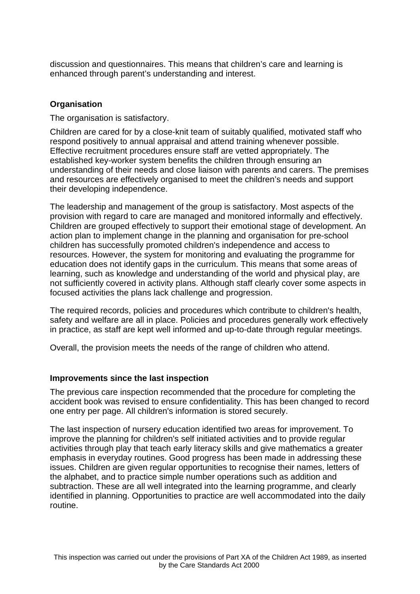discussion and questionnaires. This means that children's care and learning is enhanced through parent's understanding and interest.

## **Organisation**

The organisation is satisfactory.

Children are cared for by a close-knit team of suitably qualified, motivated staff who respond positively to annual appraisal and attend training whenever possible. Effective recruitment procedures ensure staff are vetted appropriately. The established key-worker system benefits the children through ensuring an understanding of their needs and close liaison with parents and carers. The premises and resources are effectively organised to meet the children's needs and support their developing independence.

The leadership and management of the group is satisfactory. Most aspects of the provision with regard to care are managed and monitored informally and effectively. Children are grouped effectively to support their emotional stage of development. An action plan to implement change in the planning and organisation for pre-school children has successfully promoted children's independence and access to resources. However, the system for monitoring and evaluating the programme for education does not identify gaps in the curriculum. This means that some areas of learning, such as knowledge and understanding of the world and physical play, are not sufficiently covered in activity plans. Although staff clearly cover some aspects in focused activities the plans lack challenge and progression.

The required records, policies and procedures which contribute to children's health, safety and welfare are all in place. Policies and procedures generally work effectively in practice, as staff are kept well informed and up-to-date through regular meetings.

Overall, the provision meets the needs of the range of children who attend.

## **Improvements since the last inspection**

The previous care inspection recommended that the procedure for completing the accident book was revised to ensure confidentiality. This has been changed to record one entry per page. All children's information is stored securely.

The last inspection of nursery education identified two areas for improvement. To improve the planning for children's self initiated activities and to provide regular activities through play that teach early literacy skills and give mathematics a greater emphasis in everyday routines. Good progress has been made in addressing these issues. Children are given regular opportunities to recognise their names, letters of the alphabet, and to practice simple number operations such as addition and subtraction. These are all well integrated into the learning programme, and clearly identified in planning. Opportunities to practice are well accommodated into the daily routine.